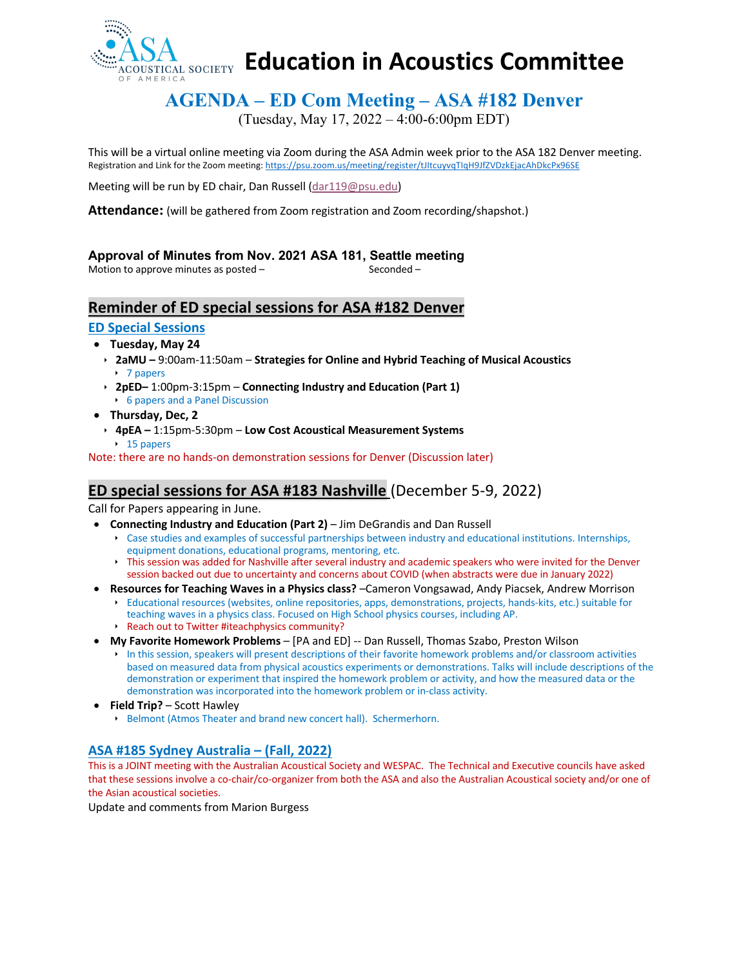

# **Education in Acoustics Committee**

## **AGENDA – ED Com Meeting – ASA #182 Denver**

(Tuesday, May 17, 2022 – 4:00-6:00pm EDT)

This will be a virtual online meeting via Zoom during the ASA Admin week prior to the ASA 182 Denver meeting. Registration and Link for the Zoom meeting: https://psu.zoom.us/meeting/register/tJItcuyvqTIqH9JfZVDzkEjacAhDkcPx96SE

Meeting will be run by ED chair, Dan Russell (dar119@psu.edu)

**Attendance:** (will be gathered from Zoom registration and Zoom recording/shapshot.)

## **Approval of Minutes from Nov. 2021 ASA 181, Seattle meeting**

Motion to approve minutes as posted – **Seconded** – Seconded –

**Reminder of ED special sessions for ASA #182 Denver**

## **ED Special Sessions**

#### • **Tuesday, May 24**

- ê **2aMU –** 9:00am-11:50am **Strategies for Online and Hybrid Teaching of Musical Acoustics**  $\rightarrow$  7 papers
- ê **2pED–** 1:00pm-3:15pm **Connecting Industry and Education (Part 1) 6 papers and a Panel Discussion**
- **Thursday, Dec, 2**
- ê **4pEA –** 1:15pm-5:30pm **Low Cost Acoustical Measurement Systems**  $\cdot$  15 papers

Note: there are no hands-on demonstration sessions for Denver (Discussion later)

## **ED special sessions for ASA #183 Nashville** (December 5-9, 2022)

Call for Papers appearing in June.

- **Connecting Industry and Education (Part 2)** Jim DeGrandis and Dan Russell
	- ê Case studies and examples of successful partnerships between industry and educational institutions. Internships, equipment donations, educational programs, mentoring, etc.
	- ê This session was added for Nashville after several industry and academic speakers who were invited for the Denver session backed out due to uncertainty and concerns about COVID (when abstracts were due in January 2022)
- **Resources for Teaching Waves in a Physics class?** –Cameron Vongsawad, Andy Piacsek, Andrew Morrison
	- ê Educational resources (websites, online repositories, apps, demonstrations, projects, hands-kits, etc.) suitable for teaching waves in a physics class. Focused on High School physics courses, including AP. **Reach out to Twitter #iteachphysics community?**
- **My Favorite Homework Problems** [PA and ED] -- Dan Russell, Thomas Szabo, Preston Wilson
	- ê In this session, speakers will present descriptions of their favorite homework problems and/or classroom activities based on measured data from physical acoustics experiments or demonstrations. Talks will include descriptions of the demonstration or experiment that inspired the homework problem or activity, and how the measured data or the demonstration was incorporated into the homework problem or in-class activity.
- **Field Trip?**  Scott Hawley
	- **E** Belmont (Atmos Theater and brand new concert hall). Schermerhorn.

## **ASA #185 Sydney Australia – (Fall, 2022)**

This is a JOINT meeting with the Australian Acoustical Society and WESPAC. The Technical and Executive councils have asked that these sessions involve a co-chair/co-organizer from both the ASA and also the Australian Acoustical society and/or one of the Asian acoustical societies.

Update and comments from Marion Burgess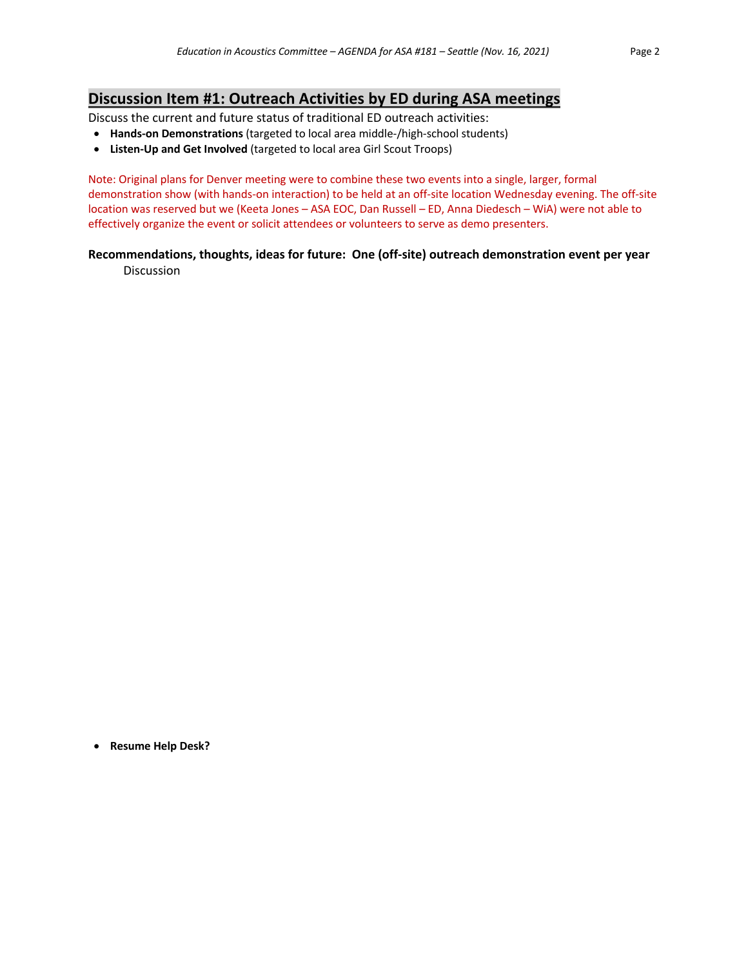## **Discussion Item #1: Outreach Activities by ED during ASA meetings**

Discuss the current and future status of traditional ED outreach activities:

- **Hands-on Demonstrations** (targeted to local area middle-/high-school students)
- **Listen-Up and Get Involved** (targeted to local area Girl Scout Troops)

Note: Original plans for Denver meeting were to combine these two events into a single, larger, formal demonstration show (with hands-on interaction) to be held at an off-site location Wednesday evening. The off-site location was reserved but we (Keeta Jones – ASA EOC, Dan Russell – ED, Anna Diedesch – WiA) were not able to effectively organize the event or solicit attendees or volunteers to serve as demo presenters.

#### **Recommendations, thoughts, ideas for future: One (off-site) outreach demonstration event per year Discussion**

• **Resume Help Desk?**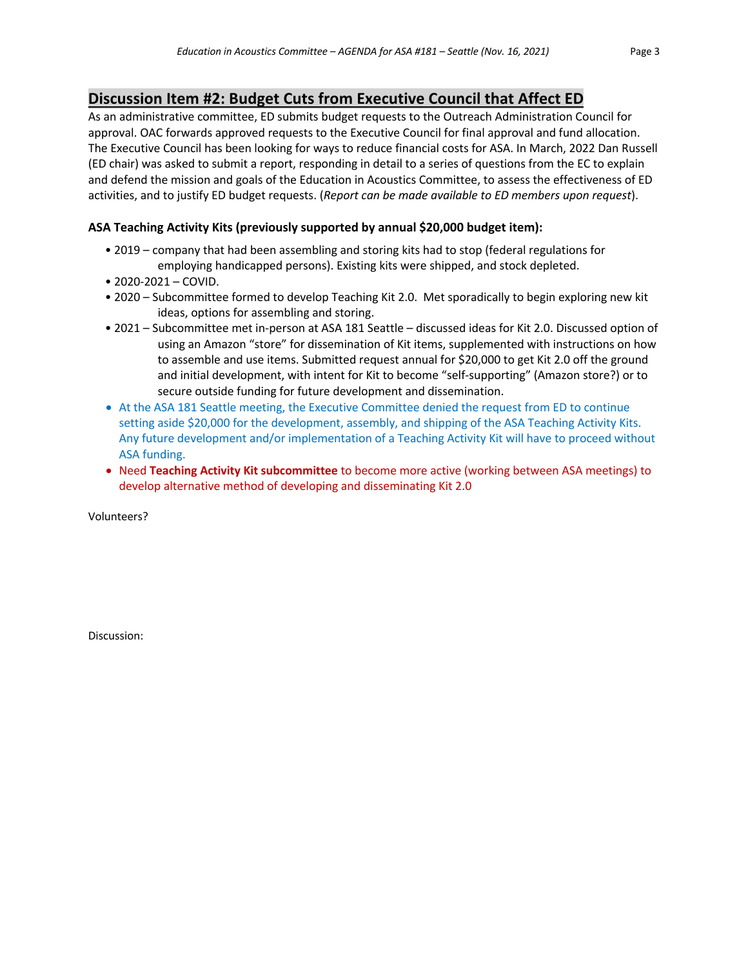## **Discussion Item #2: Budget Cuts from Executive Council that Affect ED**

As an administrative committee, ED submits budget requests to the Outreach Administration Council for approval. OAC forwards approved requests to the Executive Council for final approval and fund allocation. The Executive Council has been looking for ways to reduce financial costs for ASA. In March, 2022 Dan Russell (ED chair) was asked to submit a report, responding in detail to a series of questions from the EC to explain and defend the mission and goals of the Education in Acoustics Committee, to assess the effectiveness of ED activities, and to justify ED budget requests. (*Report can be made available to ED members upon request*).

## **ASA Teaching Activity Kits (previously supported by annual \$20,000 budget item):**

- 2019 company that had been assembling and storing kits had to stop (federal regulations for employing handicapped persons). Existing kits were shipped, and stock depleted.
- 2020-2021 COVID.
- 2020 Subcommittee formed to develop Teaching Kit 2.0. Met sporadically to begin exploring new kit ideas, options for assembling and storing.
- 2021 Subcommittee met in-person at ASA 181 Seattle discussed ideas for Kit 2.0. Discussed option of using an Amazon "store" for dissemination of Kit items, supplemented with instructions on how to assemble and use items. Submitted request annual for \$20,000 to get Kit 2.0 off the ground and initial development, with intent for Kit to become "self-supporting" (Amazon store?) or to secure outside funding for future development and dissemination.
- At the ASA 181 Seattle meeting, the Executive Committee denied the request from ED to continue setting aside \$20,000 for the development, assembly, and shipping of the ASA Teaching Activity Kits. Any future development and/or implementation of a Teaching Activity Kit will have to proceed without ASA funding.
- Need **Teaching Activity Kit subcommittee** to become more active (working between ASA meetings) to develop alternative method of developing and disseminating Kit 2.0

Volunteers?

Discussion: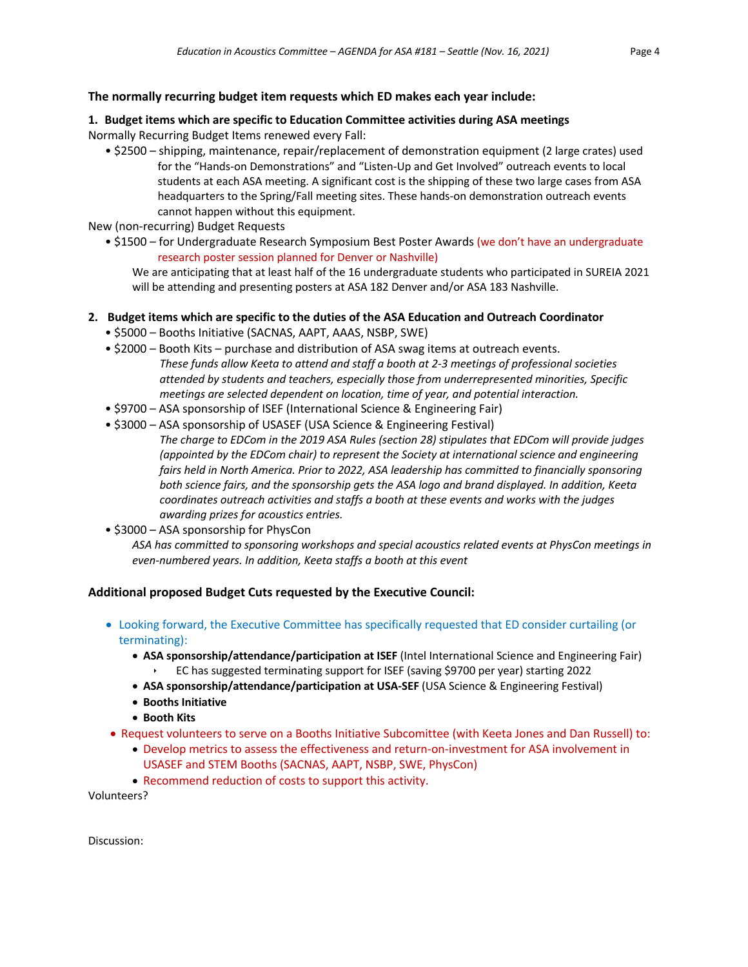## **1. Budget items which are specific to Education Committee activities during ASA meetings** Normally Recurring Budget Items renewed every Fall:

• \$2500 – shipping, maintenance, repair/replacement of demonstration equipment (2 large crates) used for the "Hands-on Demonstrations" and "Listen-Up and Get Involved" outreach events to local students at each ASA meeting. A significant cost is the shipping of these two large cases from ASA headquarters to the Spring/Fall meeting sites. These hands-on demonstration outreach events cannot happen without this equipment.

New (non-recurring) Budget Requests

• \$1500 – for Undergraduate Research Symposium Best Poster Awards (we don't have an undergraduate research poster session planned for Denver or Nashville)

We are anticipating that at least half of the 16 undergraduate students who participated in SUREIA 2021 will be attending and presenting posters at ASA 182 Denver and/or ASA 183 Nashville.

## **2. Budget items which are specific to the duties of the ASA Education and Outreach Coordinator**

- \$5000 Booths Initiative (SACNAS, AAPT, AAAS, NSBP, SWE)
- \$2000 Booth Kits purchase and distribution of ASA swag items at outreach events. *These funds allow Keeta to attend and staff a booth at 2-3 meetings of professional societies attended by students and teachers, especially those from underrepresented minorities, Specific meetings are selected dependent on location, time of year, and potential interaction.*
- \$9700 ASA sponsorship of ISEF (International Science & Engineering Fair)
- \$3000 ASA sponsorship of USASEF (USA Science & Engineering Festival)

*The charge to EDCom in the 2019 ASA Rules (section 28) stipulates that EDCom will provide judges (appointed by the EDCom chair) to represent the Society at international science and engineering fairs held in North America. Prior to 2022, ASA leadership has committed to financially sponsoring both science fairs, and the sponsorship gets the ASA logo and brand displayed. In addition, Keeta coordinates outreach activities and staffs a booth at these events and works with the judges awarding prizes for acoustics entries.*

• \$3000 – ASA sponsorship for PhysCon

*ASA has committed to sponsoring workshops and special acoustics related events at PhysCon meetings in even-numbered years. In addition, Keeta staffs a booth at this event*

## **Additional proposed Budget Cuts requested by the Executive Council:**

- Looking forward, the Executive Committee has specifically requested that ED consider curtailing (or terminating):
	- **ASA sponsorship/attendance/participation at ISEF** (Intel International Science and Engineering Fair)
		- ê EC has suggested terminating support for ISEF (saving \$9700 per year) starting 2022
	- **ASA sponsorship/attendance/participation at USA-SEF** (USA Science & Engineering Festival)
	- **Booths Initiative**
	- **Booth Kits**
- Request volunteers to serve on a Booths Initiative Subcomittee (with Keeta Jones and Dan Russell) to:
	- Develop metrics to assess the effectiveness and return-on-investment for ASA involvement in USASEF and STEM Booths (SACNAS, AAPT, NSBP, SWE, PhysCon)
	- Recommend reduction of costs to support this activity.

Volunteers?

Discussion: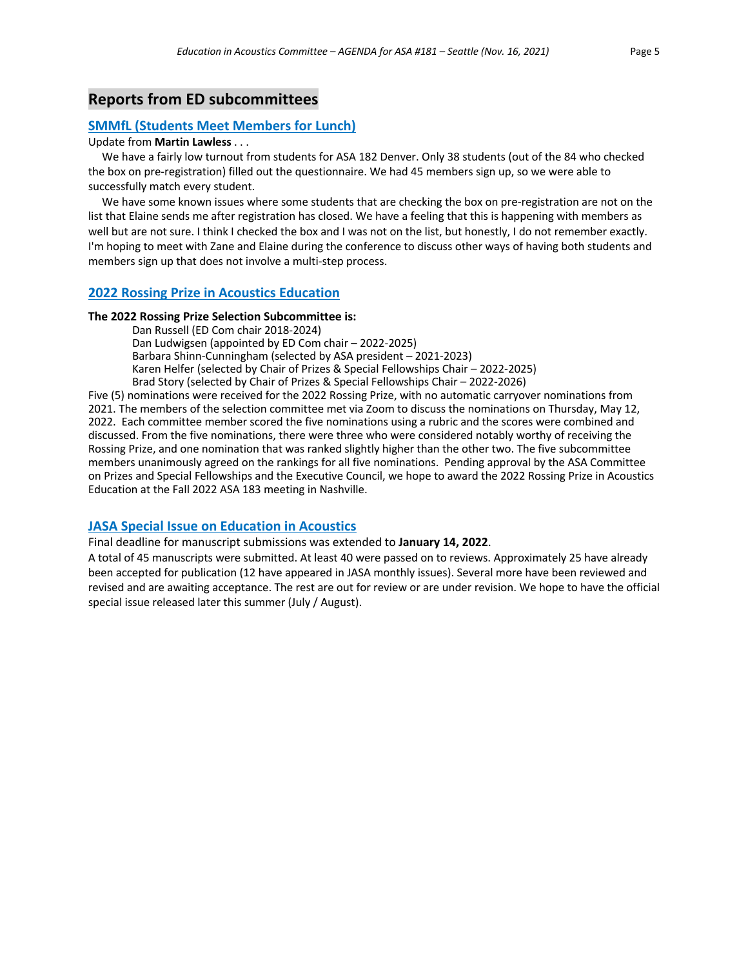## **Reports from ED subcommittees**

#### **SMMfL (Students Meet Members for Lunch)**

#### Update from **Martin Lawless** . . .

 We have a fairly low turnout from students for ASA 182 Denver. Only 38 students (out of the 84 who checked the box on pre-registration) filled out the questionnaire. We had 45 members sign up, so we were able to successfully match every student.

 We have some known issues where some students that are checking the box on pre-registration are not on the list that Elaine sends me after registration has closed. We have a feeling that this is happening with members as well but are not sure. I think I checked the box and I was not on the list, but honestly, I do not remember exactly. I'm hoping to meet with Zane and Elaine during the conference to discuss other ways of having both students and members sign up that does not involve a multi-step process.

#### **2022 Rossing Prize in Acoustics Education**

#### **The 2022 Rossing Prize Selection Subcommittee is:**

Dan Russell (ED Com chair 2018-2024) Dan Ludwigsen (appointed by ED Com chair – 2022-2025) Barbara Shinn-Cunningham (selected by ASA president – 2021-2023) Karen Helfer (selected by Chair of Prizes & Special Fellowships Chair – 2022-2025) Brad Story (selected by Chair of Prizes & Special Fellowships Chair – 2022-2026)

Five (5) nominations were received for the 2022 Rossing Prize, with no automatic carryover nominations from 2021. The members of the selection committee met via Zoom to discuss the nominations on Thursday, May 12, 2022. Each committee member scored the five nominations using a rubric and the scores were combined and discussed. From the five nominations, there were three who were considered notably worthy of receiving the Rossing Prize, and one nomination that was ranked slightly higher than the other two. The five subcommittee members unanimously agreed on the rankings for all five nominations. Pending approval by the ASA Committee on Prizes and Special Fellowships and the Executive Council, we hope to award the 2022 Rossing Prize in Acoustics Education at the Fall 2022 ASA 183 meeting in Nashville.

#### **JASA Special Issue on Education in Acoustics**

Final deadline for manuscript submissions was extended to **January 14, 2022**.

A total of 45 manuscripts were submitted. At least 40 were passed on to reviews. Approximately 25 have already been accepted for publication (12 have appeared in JASA monthly issues). Several more have been reviewed and revised and are awaiting acceptance. The rest are out for review or are under revision. We hope to have the official special issue released later this summer (July / August).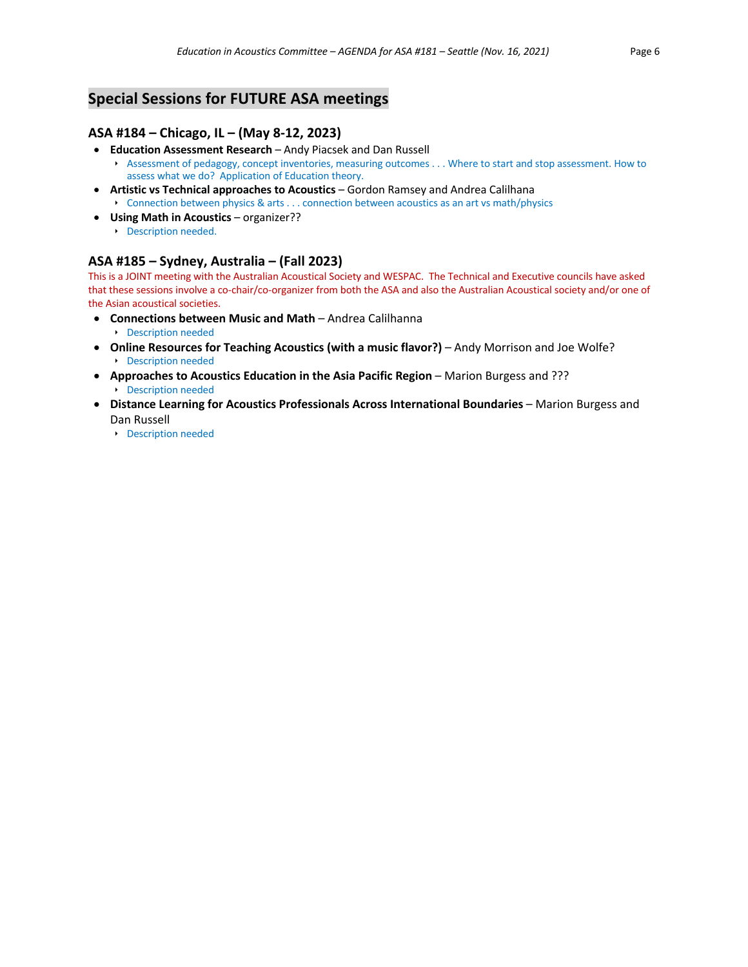## **Special Sessions for FUTURE ASA meetings**

## **ASA #184 – Chicago, IL – (May 8-12, 2023)**

- **Education Assessment Research**  Andy Piacsek and Dan Russell
	- ê Assessment of pedagogy, concept inventories, measuring outcomes . . . Where to start and stop assessment. How to assess what we do? Application of Education theory.
- **Artistic vs Technical approaches to Acoustics**  Gordon Ramsey and Andrea Calilhana ê Connection between physics & arts . . . connection between acoustics as an art vs math/physics
- **Using Math in Acoustics** organizer??
	- **E** Description needed.

## **ASA #185 – Sydney, Australia – (Fall 2023)**

This is a JOINT meeting with the Australian Acoustical Society and WESPAC. The Technical and Executive councils have asked that these sessions involve a co-chair/co-organizer from both the ASA and also the Australian Acoustical society and/or one of the Asian acoustical societies.

- **Connections between Music and Math**  Andrea Calilhanna
	- **E** Description needed
- **Online Resources for Teaching Acoustics (with a music flavor?)** Andy Morrison and Joe Wolfe? **E** Description needed
- Approaches to Acoustics Education in the Asia Pacific Region Marion Burgess and ??? **E** Description needed
- **Distance Learning for Acoustics Professionals Across International Boundaries**  Marion Burgess and Dan Russell
	- **E** Description needed